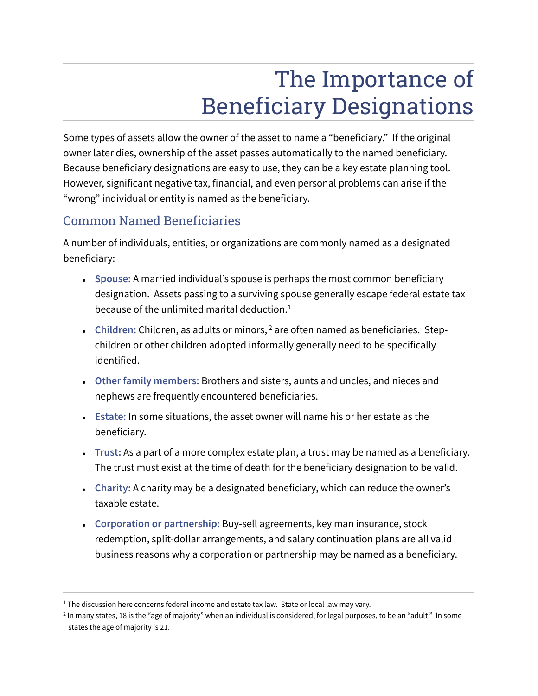# The Importance of Beneficiary Designations

Some types of assets allow the owner of the asset to name a "beneficiary." If the original owner later dies, ownership of the asset passes automatically to the named beneficiary. Because beneficiary designations are easy to use, they can be a key estate planning tool. However, significant negative tax, financial, and even personal problems can arise if the "wrong" individual or entity is named as the beneficiary.

## Common Named Beneficiaries

A number of individuals, entities, or organizations are commonly named as a designated beneficiary:

- Spouse: A married individual's spouse is perhaps the most common beneficiary designation. Assets passing to a surviving spouse generally escape federal estate tax because of the unlimited marital deduction. $1$
- Children: Children, as adults or minors, <sup>2</sup> are often named as beneficiaries. Stepchildren or other children adopted informally generally need to be specifically identified.
- **Other family members:** Brothers and sisters, aunts and uncles, and nieces and nephews are frequently encountered beneficiaries.
- **Estate:** In some situations, the asset owner will name his or her estate as the beneficiary.
- **Trust:** As a part of a more complex estate plan, a trust may be named as a beneficiary. The trust must exist at the time of death for the beneficiary designation to be valid.
- **Charity:** A charity may be a designated beneficiary, which can reduce the owner's taxable estate.
- Corporation or partnership: Buy-sell agreements, key man insurance, stock redemption, split-dollar arrangements, and salary continuation plans are all valid business reasons why a corporation or partnership may be named as a beneficiary.

 $<sup>1</sup>$  The discussion here concerns federal income and estate tax law. State or local law may vary.</sup>

<sup>2</sup> In many states, 18 is the "age of majority" when an individual is considered, for legal purposes, to be an "adult." In some states the age of majority is 21.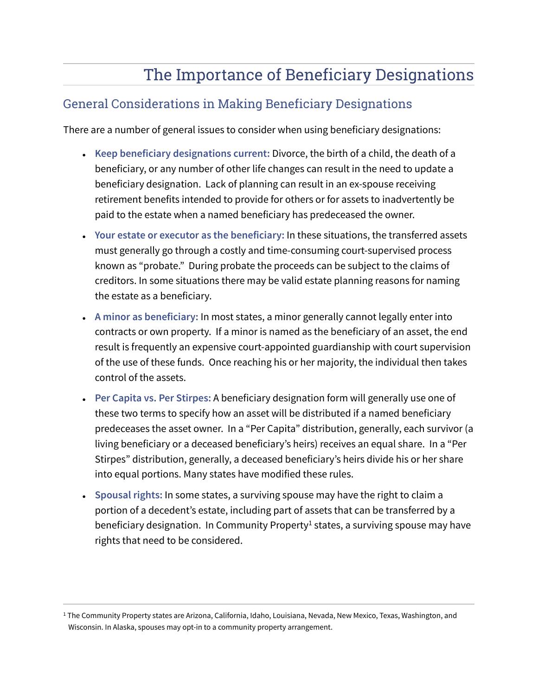# The Importance of Beneficiary Designations

#### General Considerations in Making Beneficiary Designations

There are a number of general issues to consider when using beneficiary designations:

- **Keep beneficiary designations current:** Divorce, the birth of a child, the death of a beneficiary, or any number of other life changes can result in the need to update a beneficiary designation. Lack of planning can result in an ex-spouse receiving retirement benefits intended to provide for others or for assets to inadvertently be paid to the estate when a named beneficiary has predeceased the owner.
- **Your estate or executor as the beneficiary:** In these situations, the transferred assets must generally go through a costly and time-consuming court-supervised process known as "probate." During probate the proceeds can be subject to the claims of creditors. In some situations there may be valid estate planning reasons for naming the estate as a beneficiary.
- A minor as beneficiary: In most states, a minor generally cannot legally enter into contracts or own property. If a minor is named as the beneficiary of an asset, the end result is frequently an expensive court-appointed guardianship with court supervision of the use of these funds. Once reaching his or her majority, the individual then takes control of the assets.
- **Per Capita vs. Per Stirpes:** A beneficiary designation form will generally use one of these two terms to specify how an asset will be distributed if a named beneficiary predeceases the asset owner. In a "Per Capita" distribution, generally, each survivor (a living beneficiary or a deceased beneficiary's heirs) receives an equal share. In a "Per Stirpes" distribution, generally, a deceased beneficiary's heirs divide his or her share into equal portions. Many states have modified these rules.
- Spousal rights: In some states, a surviving spouse may have the right to claim a portion of a decedent's estate, including part of assets that can be transferred by a beneficiary designation. In Community Property<sup>1</sup> states, a surviving spouse may have rights that need to be considered.

<sup>1</sup> The Community Property states are Arizona, California, Idaho, Louisiana, Nevada, New Mexico, Texas, Washington, and Wisconsin. In Alaska, spouses may opt-in to a community property arrangement.